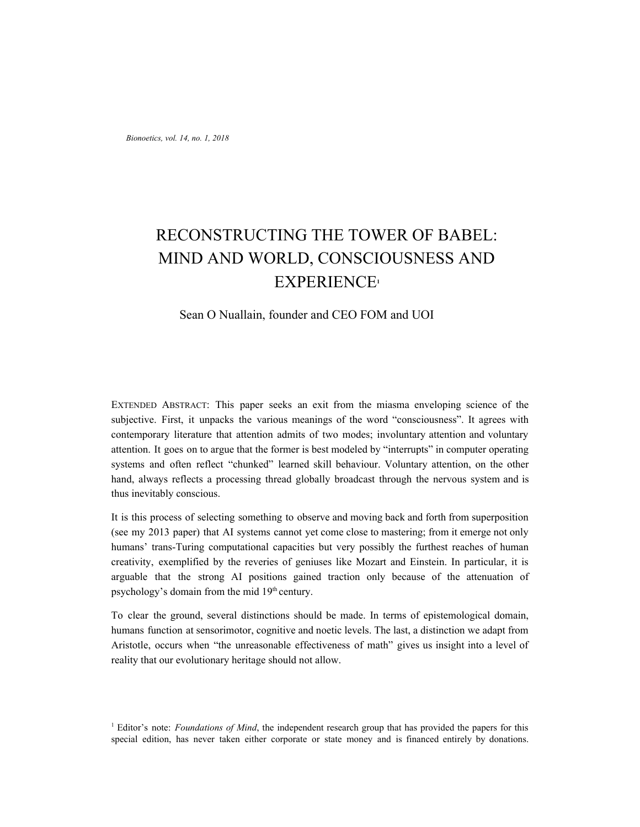*Bionoetics, vol. 14, no. 1, 2018*

# RECONSTRUCTING THE TOWER OF BABEL: MIND AND WORLD, CONSCIOUSNESS AND EXPERIENCE**<sup>1</sup>**

# Sean O Nuallain, founder and CEO FOM and UOI

EXTENDED ABSTRACT: This paper seeks an exit from the miasma enveloping science of the subjective. First, it unpacks the various meanings of the word "consciousness". It agrees with contemporary literature that attention admits of two modes; involuntary attention and voluntary attention. It goes on to argue that the former is best modeled by "interrupts" in computer operating systems and often reflect "chunked" learned skill behaviour. Voluntary attention, on the other hand, always reflects a processing thread globally broadcast through the nervous system and is thus inevitably conscious.

It is this process of selecting something to observe and moving back and forth from superposition (see my 2013 paper) that AI systems cannot yet come close to mastering; from it emerge not only humans' trans-Turing computational capacities but very possibly the furthest reaches of human creativity, exemplified by the reveries of geniuses like Mozart and Einstein. In particular, it is arguable that the strong AI positions gained traction only because of the attenuation of psychology's domain from the mid 19<sup>th</sup> century.

To clear the ground, several distinctions should be made. In terms of epistemological domain, humans function at sensorimotor, cognitive and noetic levels. The last, a distinction we adapt from Aristotle, occurs when "the unreasonable effectiveness of math" gives us insight into a level of reality that our evolutionary heritage should not allow.

<sup>1</sup> Editor's note: *Foundations of Mind*, the independent research group that has provided the papers for this special edition, has never taken either corporate or state money and is financed entirely by donations.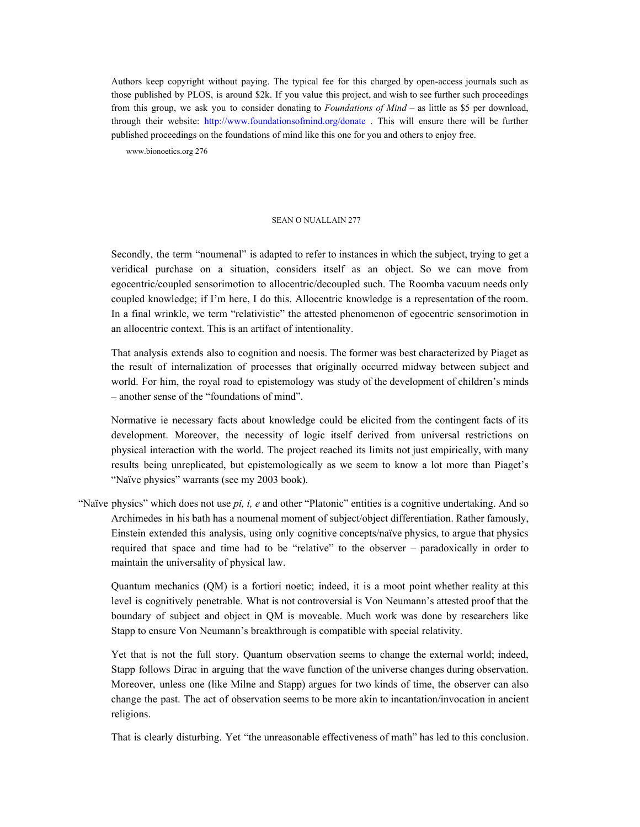Authors keep copyright without paying. The typical fee for this charged by open-access journals such as those published by PLOS, is around \$2k. If you value this project, and wish to see further such proceedings from this group, we ask you to consider donating to *Foundations of Mind* – as little as \$5 per download, through their website: http://www.foundationsofmind.org/donate . This will ensure there will be further published proceedings on the foundations of mind like this one for you and others to enjoy free.

www.bionoetics.org 276

#### SEAN O NUALLAIN 277

Secondly, the term "noumenal" is adapted to refer to instances in which the subject, trying to get a veridical purchase on a situation, considers itself as an object. So we can move from egocentric/coupled sensorimotion to allocentric/decoupled such. The Roomba vacuum needs only coupled knowledge; if I'm here, I do this. Allocentric knowledge is a representation of the room. In a final wrinkle, we term "relativistic" the attested phenomenon of egocentric sensorimotion in an allocentric context. This is an artifact of intentionality.

That analysis extends also to cognition and noesis. The former was best characterized by Piaget as the result of internalization of processes that originally occurred midway between subject and world. For him, the royal road to epistemology was study of the development of children's minds – another sense of the "foundations of mind".

Normative ie necessary facts about knowledge could be elicited from the contingent facts of its development. Moreover, the necessity of logic itself derived from universal restrictions on physical interaction with the world. The project reached its limits not just empirically, with many results being unreplicated, but epistemologically as we seem to know a lot more than Piaget's "Naïve physics" warrants (see my 2003 book).

"Naïve physics" which does not use *pi, i, e* and other "Platonic" entities is a cognitive undertaking. And so Archimedes in his bath has a noumenal moment of subject/object differentiation. Rather famously, Einstein extended this analysis, using only cognitive concepts/naïve physics, to argue that physics required that space and time had to be "relative" to the observer – paradoxically in order to maintain the universality of physical law.

Quantum mechanics (QM) is a fortiori noetic; indeed, it is a moot point whether reality at this level is cognitively penetrable. What is not controversial is Von Neumann's attested proof that the boundary of subject and object in QM is moveable. Much work was done by researchers like Stapp to ensure Von Neumann's breakthrough is compatible with special relativity.

Yet that is not the full story. Quantum observation seems to change the external world; indeed, Stapp follows Dirac in arguing that the wave function of the universe changes during observation. Moreover, unless one (like Milne and Stapp) argues for two kinds of time, the observer can also change the past. The act of observation seems to be more akin to incantation/invocation in ancient religions.

That is clearly disturbing. Yet "the unreasonable effectiveness of math" has led to this conclusion.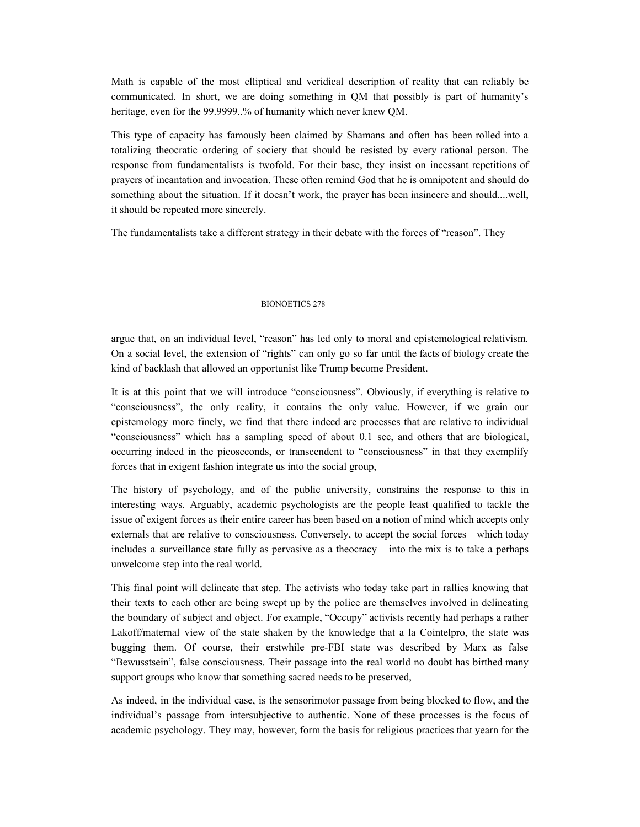Math is capable of the most elliptical and veridical description of reality that can reliably be communicated. In short, we are doing something in QM that possibly is part of humanity's heritage, even for the 99.9999..% of humanity which never knew QM.

This type of capacity has famously been claimed by Shamans and often has been rolled into a totalizing theocratic ordering of society that should be resisted by every rational person. The response from fundamentalists is twofold. For their base, they insist on incessant repetitions of prayers of incantation and invocation. These often remind God that he is omnipotent and should do something about the situation. If it doesn't work, the prayer has been insincere and should....well, it should be repeated more sincerely.

The fundamentalists take a different strategy in their debate with the forces of "reason". They

#### BIONOETICS 278

argue that, on an individual level, "reason" has led only to moral and epistemological relativism. On a social level, the extension of "rights" can only go so far until the facts of biology create the kind of backlash that allowed an opportunist like Trump become President.

It is at this point that we will introduce "consciousness". Obviously, if everything is relative to "consciousness", the only reality, it contains the only value. However, if we grain our epistemology more finely, we find that there indeed are processes that are relative to individual "consciousness" which has a sampling speed of about 0.1 sec, and others that are biological, occurring indeed in the picoseconds, or transcendent to "consciousness" in that they exemplify forces that in exigent fashion integrate us into the social group,

The history of psychology, and of the public university, constrains the response to this in interesting ways. Arguably, academic psychologists are the people least qualified to tackle the issue of exigent forces as their entire career has been based on a notion of mind which accepts only externals that are relative to consciousness. Conversely, to accept the social forces – which today includes a surveillance state fully as pervasive as a theocracy – into the mix is to take a perhaps unwelcome step into the real world.

This final point will delineate that step. The activists who today take part in rallies knowing that their texts to each other are being swept up by the police are themselves involved in delineating the boundary of subject and object. For example, "Occupy" activists recently had perhaps a rather Lakoff/maternal view of the state shaken by the knowledge that a la Cointelpro, the state was bugging them. Of course, their erstwhile pre-FBI state was described by Marx as false "Bewusstsein", false consciousness. Their passage into the real world no doubt has birthed many support groups who know that something sacred needs to be preserved,

As indeed, in the individual case, is the sensorimotor passage from being blocked to flow, and the individual's passage from intersubjective to authentic. None of these processes is the focus of academic psychology. They may, however, form the basis for religious practices that yearn for the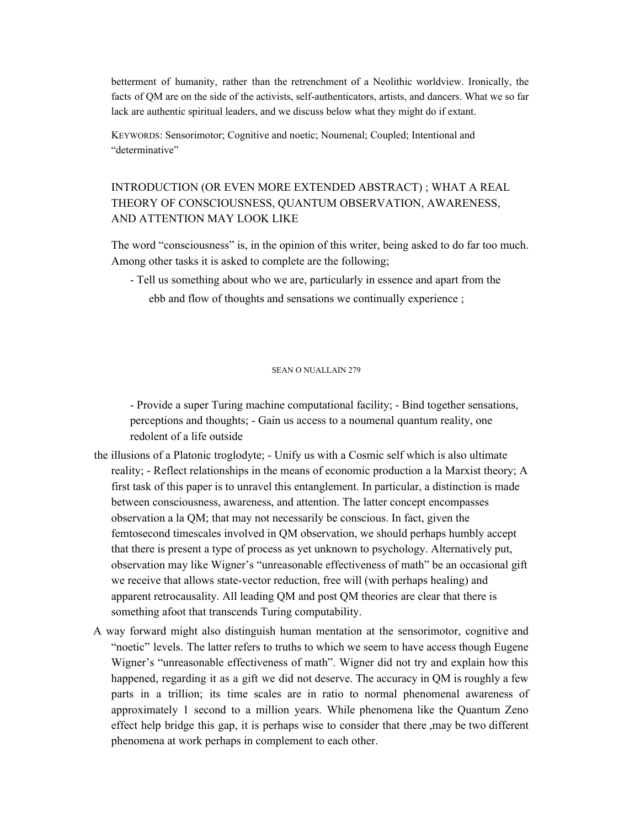betterment of humanity, rather than the retrenchment of a Neolithic worldview. Ironically, the facts of QM are on the side of the activists, self-authenticators, artists, and dancers. What we so far lack are authentic spiritual leaders, and we discuss below what they might do if extant.

KEYWORDS: Sensorimotor; Cognitive and noetic; Noumenal; Coupled; Intentional and "determinative"

# INTRODUCTION (OR EVEN MORE EXTENDED ABSTRACT) ; WHAT A REAL THEORY OF CONSCIOUSNESS, QUANTUM OBSERVATION, AWARENESS, AND ATTENTION MAY LOOK LIKE

The word "consciousness" is, in the opinion of this writer, being asked to do far too much. Among other tasks it is asked to complete are the following;

- Tell us something about who we are, particularly in essence and apart from the ebb and flow of thoughts and sensations we continually experience ;

### SEAN O NUALLAIN 279

- Provide a super Turing machine computational facility; - Bind together sensations, perceptions and thoughts; - Gain us access to a noumenal quantum reality, one redolent of a life outside

- the illusions of a Platonic troglodyte; Unify us with a Cosmic self which is also ultimate reality; - Reflect relationships in the means of economic production a la Marxist theory; A first task of this paper is to unravel this entanglement. In particular, a distinction is made between consciousness, awareness, and attention. The latter concept encompasses observation a la QM; that may not necessarily be conscious. In fact, given the femtosecond timescales involved in QM observation, we should perhaps humbly accept that there is present a type of process as yet unknown to psychology. Alternatively put, observation may like Wigner's "unreasonable effectiveness of math" be an occasional gift we receive that allows state-vector reduction, free will (with perhaps healing) and apparent retrocausality. All leading QM and post QM theories are clear that there is something afoot that transcends Turing computability.
- A way forward might also distinguish human mentation at the sensorimotor, cognitive and "noetic" levels. The latter refers to truths to which we seem to have access though Eugene Wigner's "unreasonable effectiveness of math". Wigner did not try and explain how this happened, regarding it as a gift we did not deserve. The accuracy in QM is roughly a few parts in a trillion; its time scales are in ratio to normal phenomenal awareness of approximately 1 second to a million years. While phenomena like the Quantum Zeno effect help bridge this gap, it is perhaps wise to consider that there ,may be two different phenomena at work perhaps in complement to each other.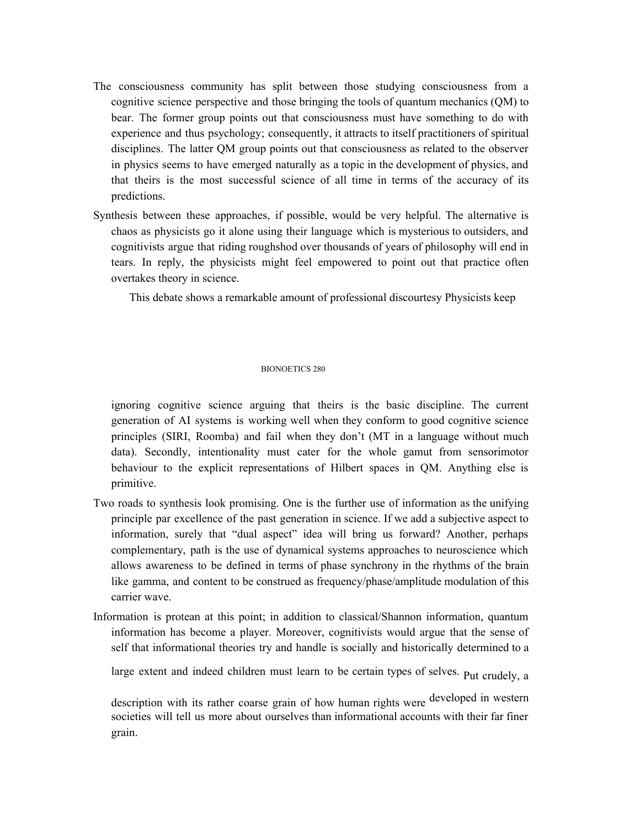- The consciousness community has split between those studying consciousness from a cognitive science perspective and those bringing the tools of quantum mechanics (QM) to bear. The former group points out that consciousness must have something to do with experience and thus psychology; consequently, it attracts to itself practitioners of spiritual disciplines. The latter QM group points out that consciousness as related to the observer in physics seems to have emerged naturally as a topic in the development of physics, and that theirs is the most successful science of all time in terms of the accuracy of its predictions.
- Synthesis between these approaches, if possible, would be very helpful. The alternative is chaos as physicists go it alone using their language which is mysterious to outsiders, and cognitivists argue that riding roughshod over thousands of years of philosophy will end in tears. In reply, the physicists might feel empowered to point out that practice often overtakes theory in science.

This debate shows a remarkable amount of professional discourtesy Physicists keep

# BIONOETICS 280

ignoring cognitive science arguing that theirs is the basic discipline. The current generation of AI systems is working well when they conform to good cognitive science principles (SIRI, Roomba) and fail when they don't (MT in a language without much data). Secondly, intentionality must cater for the whole gamut from sensorimotor behaviour to the explicit representations of Hilbert spaces in QM. Anything else is primitive.

- Two roads to synthesis look promising. One is the further use of information as the unifying principle par excellence of the past generation in science. If we add a subjective aspect to information, surely that "dual aspect" idea will bring us forward? Another, perhaps complementary, path is the use of dynamical systems approaches to neuroscience which allows awareness to be defined in terms of phase synchrony in the rhythms of the brain like gamma, and content to be construed as frequency/phase/amplitude modulation of this carrier wave.
- Information is protean at this point; in addition to classical/Shannon information, quantum information has become a player. Moreover, cognitivists would argue that the sense of self that informational theories try and handle is socially and historically determined to a

large extent and indeed children must learn to be certain types of selves. Put crudely, a

description with its rather coarse grain of how human rights were developed in western societies will tell us more about ourselves than informational accounts with their far finer grain.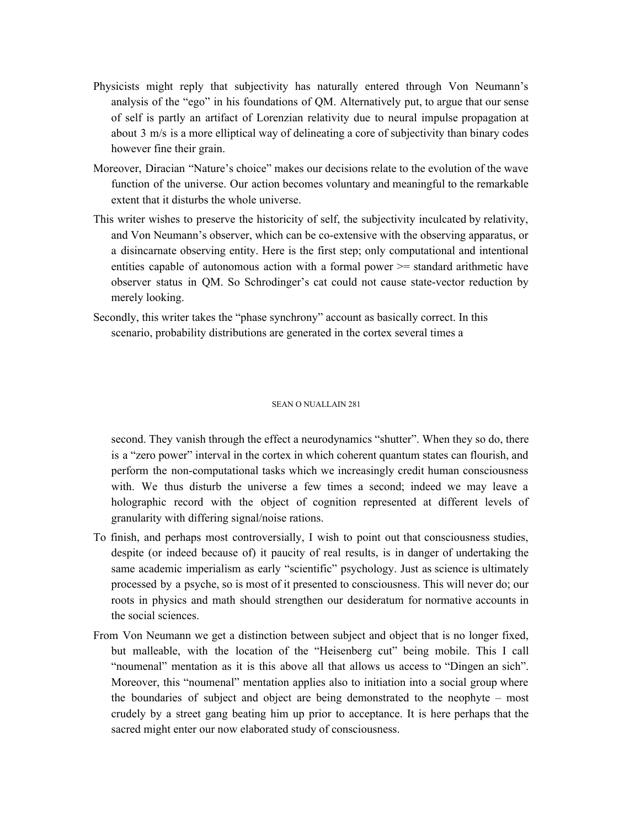- Physicists might reply that subjectivity has naturally entered through Von Neumann's analysis of the "ego" in his foundations of QM. Alternatively put, to argue that our sense of self is partly an artifact of Lorenzian relativity due to neural impulse propagation at about 3 m/s is a more elliptical way of delineating a core of subjectivity than binary codes however fine their grain.
- Moreover, Diracian "Nature's choice" makes our decisions relate to the evolution of the wave function of the universe. Our action becomes voluntary and meaningful to the remarkable extent that it disturbs the whole universe.
- This writer wishes to preserve the historicity of self, the subjectivity inculcated by relativity, and Von Neumann's observer, which can be co-extensive with the observing apparatus, or a disincarnate observing entity. Here is the first step; only computational and intentional entities capable of autonomous action with a formal power >= standard arithmetic have observer status in QM. So Schrodinger's cat could not cause state-vector reduction by merely looking.
- Secondly, this writer takes the "phase synchrony" account as basically correct. In this scenario, probability distributions are generated in the cortex several times a

#### SEAN O NUALLAIN 281

second. They vanish through the effect a neurodynamics "shutter". When they so do, there is a "zero power" interval in the cortex in which coherent quantum states can flourish, and perform the non-computational tasks which we increasingly credit human consciousness with. We thus disturb the universe a few times a second; indeed we may leave a holographic record with the object of cognition represented at different levels of granularity with differing signal/noise rations.

- To finish, and perhaps most controversially, I wish to point out that consciousness studies, despite (or indeed because of) it paucity of real results, is in danger of undertaking the same academic imperialism as early "scientific" psychology. Just as science is ultimately processed by a psyche, so is most of it presented to consciousness. This will never do; our roots in physics and math should strengthen our desideratum for normative accounts in the social sciences.
- From Von Neumann we get a distinction between subject and object that is no longer fixed, but malleable, with the location of the "Heisenberg cut" being mobile. This I call "noumenal" mentation as it is this above all that allows us access to "Dingen an sich". Moreover, this "noumenal" mentation applies also to initiation into a social group where the boundaries of subject and object are being demonstrated to the neophyte – most crudely by a street gang beating him up prior to acceptance. It is here perhaps that the sacred might enter our now elaborated study of consciousness.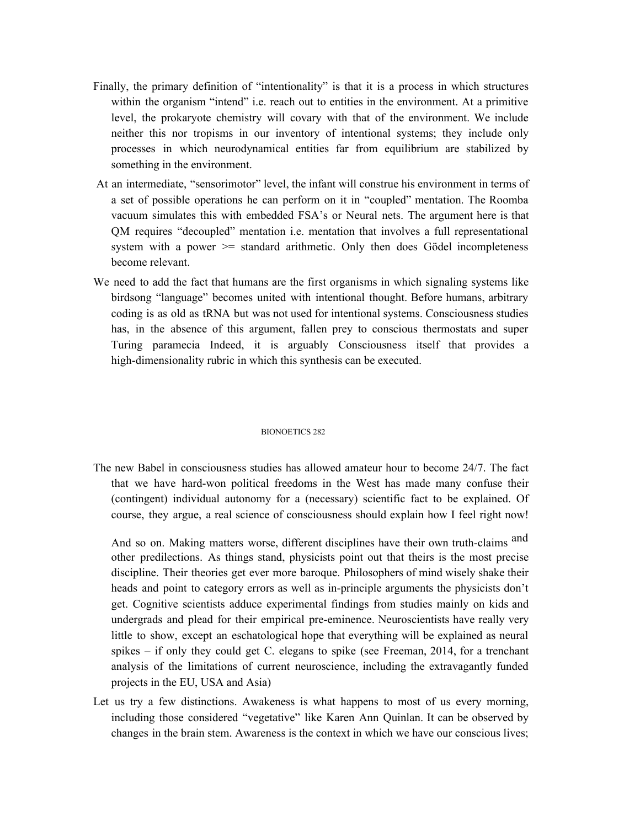- Finally, the primary definition of "intentionality" is that it is a process in which structures within the organism "intend" i.e. reach out to entities in the environment. At a primitive level, the prokaryote chemistry will covary with that of the environment. We include neither this nor tropisms in our inventory of intentional systems; they include only processes in which neurodynamical entities far from equilibrium are stabilized by something in the environment.
- At an intermediate, "sensorimotor" level, the infant will construe his environment in terms of a set of possible operations he can perform on it in "coupled" mentation. The Roomba vacuum simulates this with embedded FSA's or Neural nets. The argument here is that QM requires "decoupled" mentation i.e. mentation that involves a full representational system with a power  $\ge$  standard arithmetic. Only then does Gödel incompleteness become relevant.
- We need to add the fact that humans are the first organisms in which signaling systems like birdsong "language" becomes united with intentional thought. Before humans, arbitrary coding is as old as tRNA but was not used for intentional systems. Consciousness studies has, in the absence of this argument, fallen prey to conscious thermostats and super Turing paramecia Indeed, it is arguably Consciousness itself that provides a high-dimensionality rubric in which this synthesis can be executed.

# BIONOETICS 282

The new Babel in consciousness studies has allowed amateur hour to become 24/7. The fact that we have hard-won political freedoms in the West has made many confuse their (contingent) individual autonomy for a (necessary) scientific fact to be explained. Of course, they argue, a real science of consciousness should explain how I feel right now!

And so on. Making matters worse, different disciplines have their own truth-claims and other predilections. As things stand, physicists point out that theirs is the most precise discipline. Their theories get ever more baroque. Philosophers of mind wisely shake their heads and point to category errors as well as in-principle arguments the physicists don't get. Cognitive scientists adduce experimental findings from studies mainly on kids and undergrads and plead for their empirical pre-eminence. Neuroscientists have really very little to show, except an eschatological hope that everything will be explained as neural spikes – if only they could get C. elegans to spike (see Freeman, 2014, for a trenchant analysis of the limitations of current neuroscience, including the extravagantly funded projects in the EU, USA and Asia)

Let us try a few distinctions. Awakeness is what happens to most of us every morning, including those considered "vegetative" like Karen Ann Quinlan. It can be observed by changes in the brain stem. Awareness is the context in which we have our conscious lives;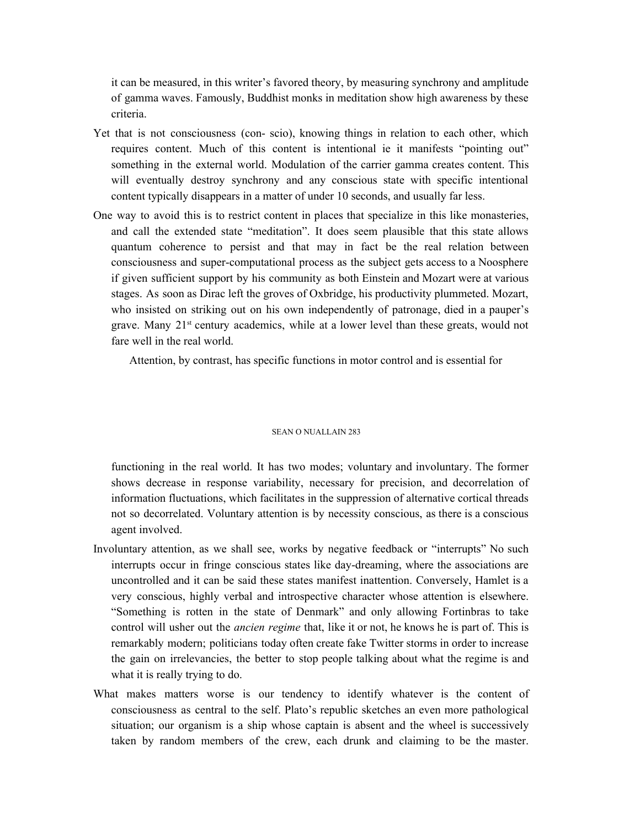it can be measured, in this writer's favored theory, by measuring synchrony and amplitude of gamma waves. Famously, Buddhist monks in meditation show high awareness by these criteria.

- Yet that is not consciousness (con- scio), knowing things in relation to each other, which requires content. Much of this content is intentional ie it manifests "pointing out" something in the external world. Modulation of the carrier gamma creates content. This will eventually destroy synchrony and any conscious state with specific intentional content typically disappears in a matter of under 10 seconds, and usually far less.
- One way to avoid this is to restrict content in places that specialize in this like monasteries, and call the extended state "meditation". It does seem plausible that this state allows quantum coherence to persist and that may in fact be the real relation between consciousness and super-computational process as the subject gets access to a Noosphere if given sufficient support by his community as both Einstein and Mozart were at various stages. As soon as Dirac left the groves of Oxbridge, his productivity plummeted. Mozart, who insisted on striking out on his own independently of patronage, died in a pauper's grave. Many 21<sup>st</sup> century academics, while at a lower level than these greats, would not fare well in the real world.

Attention, by contrast, has specific functions in motor control and is essential for

#### SEAN O NIJAL LAIN 283

functioning in the real world. It has two modes; voluntary and involuntary. The former shows decrease in response variability, necessary for precision, and decorrelation of information fluctuations, which facilitates in the suppression of alternative cortical threads not so decorrelated. Voluntary attention is by necessity conscious, as there is a conscious agent involved.

- Involuntary attention, as we shall see, works by negative feedback or "interrupts" No such interrupts occur in fringe conscious states like day-dreaming, where the associations are uncontrolled and it can be said these states manifest inattention. Conversely, Hamlet is a very conscious, highly verbal and introspective character whose attention is elsewhere. "Something is rotten in the state of Denmark" and only allowing Fortinbras to take control will usher out the *ancien regime* that, like it or not, he knows he is part of. This is remarkably modern; politicians today often create fake Twitter storms in order to increase the gain on irrelevancies, the better to stop people talking about what the regime is and what it is really trying to do.
- What makes matters worse is our tendency to identify whatever is the content of consciousness as central to the self. Plato's republic sketches an even more pathological situation; our organism is a ship whose captain is absent and the wheel is successively taken by random members of the crew, each drunk and claiming to be the master.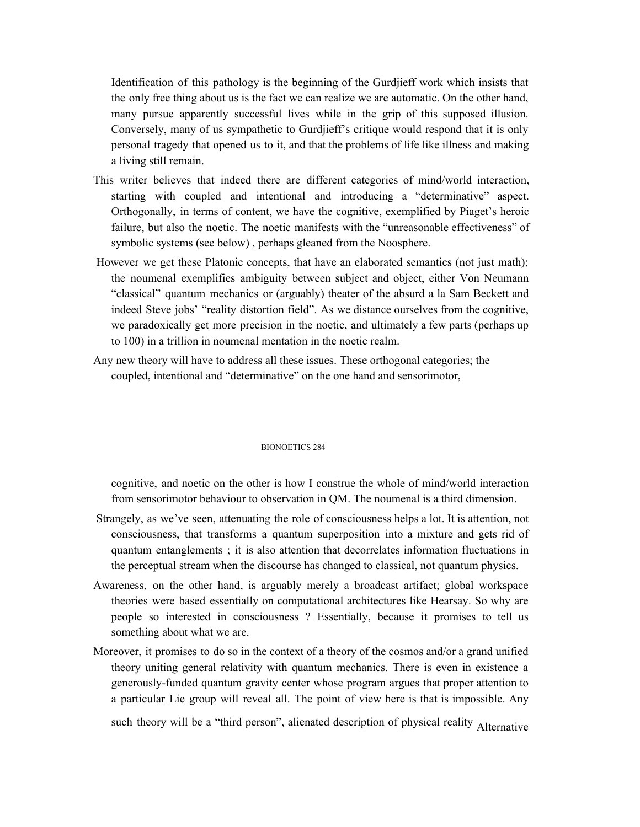Identification of this pathology is the beginning of the Gurdjieff work which insists that the only free thing about us is the fact we can realize we are automatic. On the other hand, many pursue apparently successful lives while in the grip of this supposed illusion. Conversely, many of us sympathetic to Gurdjieff's critique would respond that it is only personal tragedy that opened us to it, and that the problems of life like illness and making a living still remain.

- This writer believes that indeed there are different categories of mind/world interaction, starting with coupled and intentional and introducing a "determinative" aspect. Orthogonally, in terms of content, we have the cognitive, exemplified by Piaget's heroic failure, but also the noetic. The noetic manifests with the "unreasonable effectiveness" of symbolic systems (see below) , perhaps gleaned from the Noosphere.
- However we get these Platonic concepts, that have an elaborated semantics (not just math); the noumenal exemplifies ambiguity between subject and object, either Von Neumann "classical" quantum mechanics or (arguably) theater of the absurd a la Sam Beckett and indeed Steve jobs' "reality distortion field". As we distance ourselves from the cognitive, we paradoxically get more precision in the noetic, and ultimately a few parts (perhaps up to 100) in a trillion in noumenal mentation in the noetic realm.
- Any new theory will have to address all these issues. These orthogonal categories; the coupled, intentional and "determinative" on the one hand and sensorimotor,

#### BIONOETICS 284

cognitive, and noetic on the other is how I construe the whole of mind/world interaction from sensorimotor behaviour to observation in QM. The noumenal is a third dimension.

- Strangely, as we've seen, attenuating the role of consciousness helps a lot. It is attention, not consciousness, that transforms a quantum superposition into a mixture and gets rid of quantum entanglements ; it is also attention that decorrelates information fluctuations in the perceptual stream when the discourse has changed to classical, not quantum physics.
- Awareness, on the other hand, is arguably merely a broadcast artifact; global workspace theories were based essentially on computational architectures like Hearsay. So why are people so interested in consciousness ? Essentially, because it promises to tell us something about what we are.
- Moreover, it promises to do so in the context of a theory of the cosmos and/or a grand unified theory uniting general relativity with quantum mechanics. There is even in existence a generously-funded quantum gravity center whose program argues that proper attention to a particular Lie group will reveal all. The point of view here is that is impossible. Any

such theory will be a "third person", alienated description of physical reality Alternative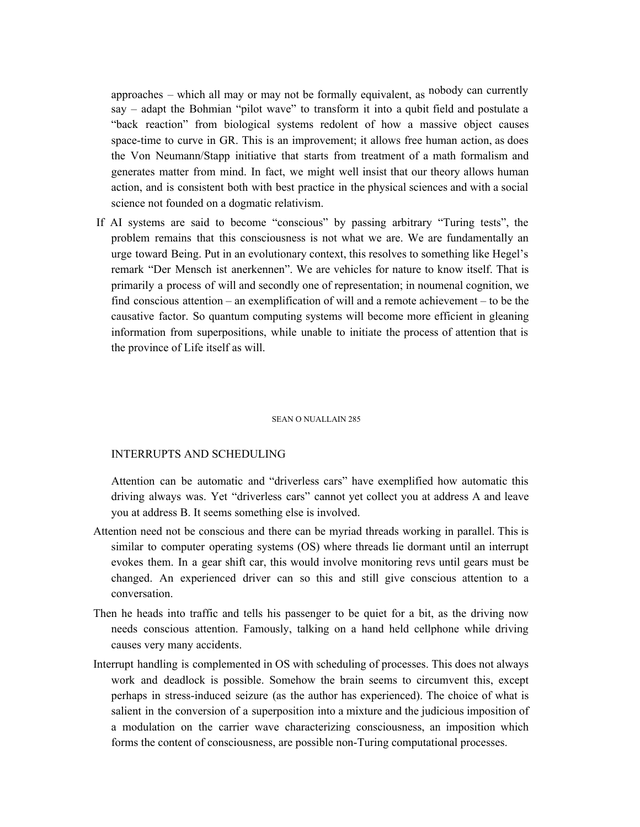approaches – which all may or may not be formally equivalent, as nobody can currently say – adapt the Bohmian "pilot wave" to transform it into a qubit field and postulate a "back reaction" from biological systems redolent of how a massive object causes space-time to curve in GR. This is an improvement; it allows free human action, as does the Von Neumann/Stapp initiative that starts from treatment of a math formalism and generates matter from mind. In fact, we might well insist that our theory allows human action, and is consistent both with best practice in the physical sciences and with a social science not founded on a dogmatic relativism.

If AI systems are said to become "conscious" by passing arbitrary "Turing tests", the problem remains that this consciousness is not what we are. We are fundamentally an urge toward Being. Put in an evolutionary context, this resolves to something like Hegel's remark "Der Mensch ist anerkennen". We are vehicles for nature to know itself. That is primarily a process of will and secondly one of representation; in noumenal cognition, we find conscious attention – an exemplification of will and a remote achievement – to be the causative factor. So quantum computing systems will become more efficient in gleaning information from superpositions, while unable to initiate the process of attention that is the province of Life itself as will.

#### SEAN O NUALLAIN 285

# INTERRUPTS AND SCHEDULING

Attention can be automatic and "driverless cars" have exemplified how automatic this driving always was. Yet "driverless cars" cannot yet collect you at address A and leave you at address B. It seems something else is involved.

- Attention need not be conscious and there can be myriad threads working in parallel. This is similar to computer operating systems (OS) where threads lie dormant until an interrupt evokes them. In a gear shift car, this would involve monitoring revs until gears must be changed. An experienced driver can so this and still give conscious attention to a conversation.
- Then he heads into traffic and tells his passenger to be quiet for a bit, as the driving now needs conscious attention. Famously, talking on a hand held cellphone while driving causes very many accidents.
- Interrupt handling is complemented in OS with scheduling of processes. This does not always work and deadlock is possible. Somehow the brain seems to circumvent this, except perhaps in stress-induced seizure (as the author has experienced). The choice of what is salient in the conversion of a superposition into a mixture and the judicious imposition of a modulation on the carrier wave characterizing consciousness, an imposition which forms the content of consciousness, are possible non-Turing computational processes.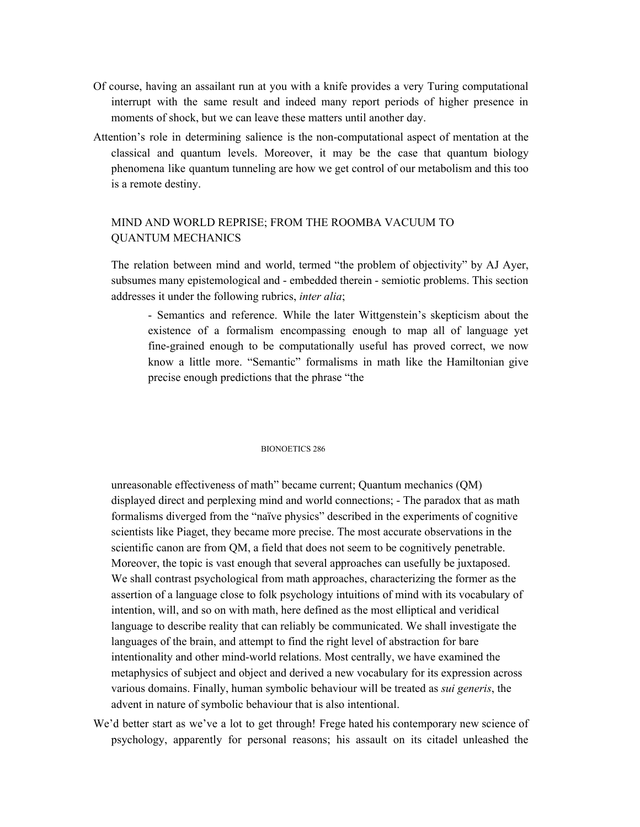- Of course, having an assailant run at you with a knife provides a very Turing computational interrupt with the same result and indeed many report periods of higher presence in moments of shock, but we can leave these matters until another day.
- Attention's role in determining salience is the non-computational aspect of mentation at the classical and quantum levels. Moreover, it may be the case that quantum biology phenomena like quantum tunneling are how we get control of our metabolism and this too is a remote destiny.

# MIND AND WORLD REPRISE; FROM THE ROOMBA VACUUM TO QUANTUM MECHANICS

The relation between mind and world, termed "the problem of objectivity" by AJ Ayer, subsumes many epistemological and - embedded therein - semiotic problems. This section addresses it under the following rubrics, *inter alia*;

- Semantics and reference. While the later Wittgenstein's skepticism about the existence of a formalism encompassing enough to map all of language yet fine-grained enough to be computationally useful has proved correct, we now know a little more. "Semantic" formalisms in math like the Hamiltonian give precise enough predictions that the phrase "the

# BIONOETICS 286

unreasonable effectiveness of math" became current; Quantum mechanics (QM) displayed direct and perplexing mind and world connections; - The paradox that as math formalisms diverged from the "naïve physics" described in the experiments of cognitive scientists like Piaget, they became more precise. The most accurate observations in the scientific canon are from QM, a field that does not seem to be cognitively penetrable. Moreover, the topic is vast enough that several approaches can usefully be juxtaposed. We shall contrast psychological from math approaches, characterizing the former as the assertion of a language close to folk psychology intuitions of mind with its vocabulary of intention, will, and so on with math, here defined as the most elliptical and veridical language to describe reality that can reliably be communicated. We shall investigate the languages of the brain, and attempt to find the right level of abstraction for bare intentionality and other mind-world relations. Most centrally, we have examined the metaphysics of subject and object and derived a new vocabulary for its expression across various domains. Finally, human symbolic behaviour will be treated as *sui generis*, the advent in nature of symbolic behaviour that is also intentional.

We'd better start as we've a lot to get through! Frege hated his contemporary new science of psychology, apparently for personal reasons; his assault on its citadel unleashed the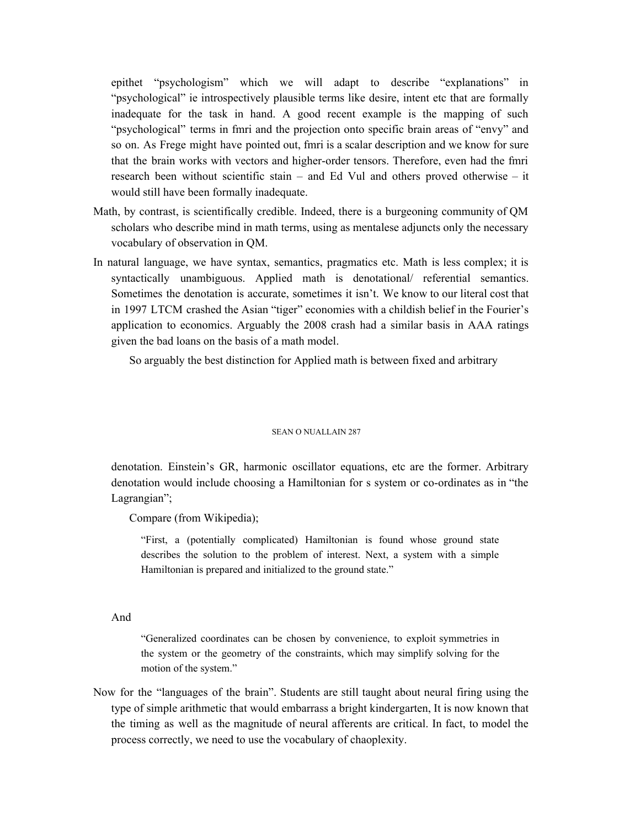epithet "psychologism" which we will adapt to describe "explanations" in "psychological" ie introspectively plausible terms like desire, intent etc that are formally inadequate for the task in hand. A good recent example is the mapping of such "psychological" terms in fmri and the projection onto specific brain areas of "envy" and so on. As Frege might have pointed out, fmri is a scalar description and we know for sure that the brain works with vectors and higher-order tensors. Therefore, even had the fmri research been without scientific stain – and Ed Vul and others proved otherwise – it would still have been formally inadequate.

- Math, by contrast, is scientifically credible. Indeed, there is a burgeoning community of QM scholars who describe mind in math terms, using as mentalese adjuncts only the necessary vocabulary of observation in QM.
- In natural language, we have syntax, semantics, pragmatics etc. Math is less complex; it is syntactically unambiguous. Applied math is denotational/ referential semantics. Sometimes the denotation is accurate, sometimes it isn't. We know to our literal cost that in 1997 LTCM crashed the Asian "tiger" economies with a childish belief in the Fourier's application to economics. Arguably the 2008 crash had a similar basis in AAA ratings given the bad loans on the basis of a math model.

So arguably the best distinction for Applied math is between fixed and arbitrary

#### SEAN O NIJAL LAIN 287

denotation. Einstein's GR, harmonic oscillator equations, etc are the former. Arbitrary denotation would include choosing a Hamiltonian for s system or co-ordinates as in "the Lagrangian";

Compare (from Wikipedia);

"First, a (potentially complicated) Hamiltonian is found whose ground state describes the solution to the problem of interest. Next, a system with a simple Hamiltonian is prepared and initialized to the ground state."

And

"Generalized coordinates can be chosen by convenience, to exploit symmetries in the system or the geometry of the constraints, which may simplify solving for the motion of the system."

Now for the "languages of the brain". Students are still taught about neural firing using the type of simple arithmetic that would embarrass a bright kindergarten, It is now known that the timing as well as the magnitude of neural afferents are critical. In fact, to model the process correctly, we need to use the vocabulary of chaoplexity.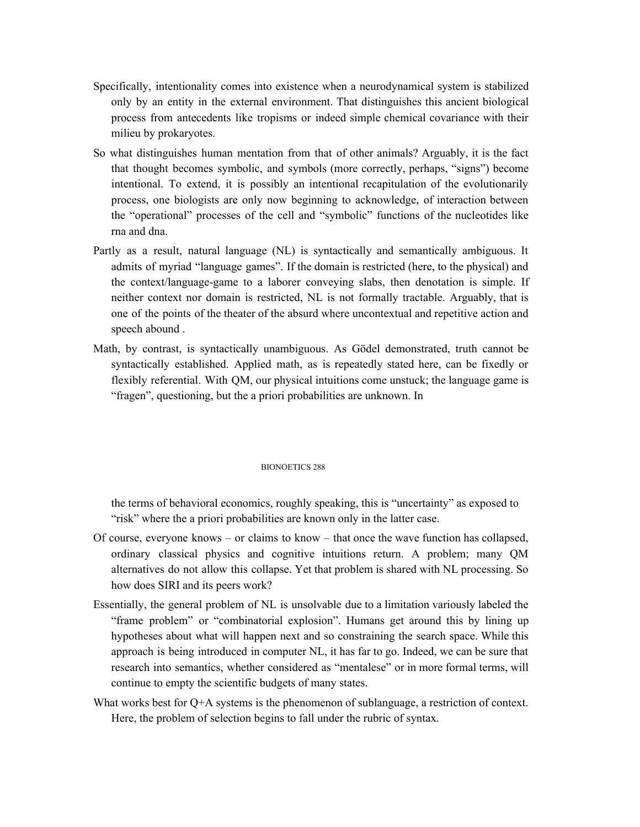- Specifically, intentionality comes into existence when a neurodynamical system is stabilized only by an entity in the external environment. That distinguishes this ancient biological process from antecedents like tropisms or indeed simple chemical covariance with their milieu by prokaryotes.
- So what distinguishes human mentation from that of other animals? Arguably, it is the fact that thought becomes symbolic, and symbols (more correctly, perhaps, "signs") become intentional. To extend, it is possibly an intentional recapitulation of the evolutionarily process, one biologists are only now beginning to acknowledge, of interaction between the "operational" processes of the cell and "symbolic" functions of the nucleotides like rna and dna.
- Partly as a result, natural language (NL) is syntactically and semantically ambiguous. It admits of myriad "language games". If the domain is restricted (here, to the physical) and the context/language-game to a laborer conveying slabs, then denotation is simple. If neither context nor domain is restricted, NL is not formally tractable. Arguably, that is one of the points of the theater of the absurd where uncontextual and repetitive action and speech abound .
- Math, by contrast, is syntactically unambiguous. As Gödel demonstrated, truth cannot be syntactically established. Applied math, as is repeatedly stated here, can be fixedly or flexibly referential. With QM, our physical intuitions come unstuck; the language game is "fragen", questioning, but the a priori probabilities are unknown. In

# BIONOETICS 288

the terms of behavioral economics, roughly speaking, this is "uncertainty" as exposed to "risk" where the a priori probabilities are known only in the latter case.

- Of course, everyone knows or claims to know that once the wave function has collapsed, ordinary classical physics and cognitive intuitions return. A problem; many QM alternatives do not allow this collapse. Yet that problem is shared with NL processing. So how does SIRI and its peers work?
- Essentially, the general problem of NL is unsolvable due to a limitation variously labeled the "frame problem" or "combinatorial explosion". Humans get around this by lining up hypotheses about what will happen next and so constraining the search space. While this approach is being introduced in computer NL, it has far to go. Indeed, we can be sure that research into semantics, whether considered as "mentalese" or in more formal terms, will continue to empty the scientific budgets of many states.
- What works best for Q+A systems is the phenomenon of sublanguage, a restriction of context. Here, the problem of selection begins to fall under the rubric of syntax.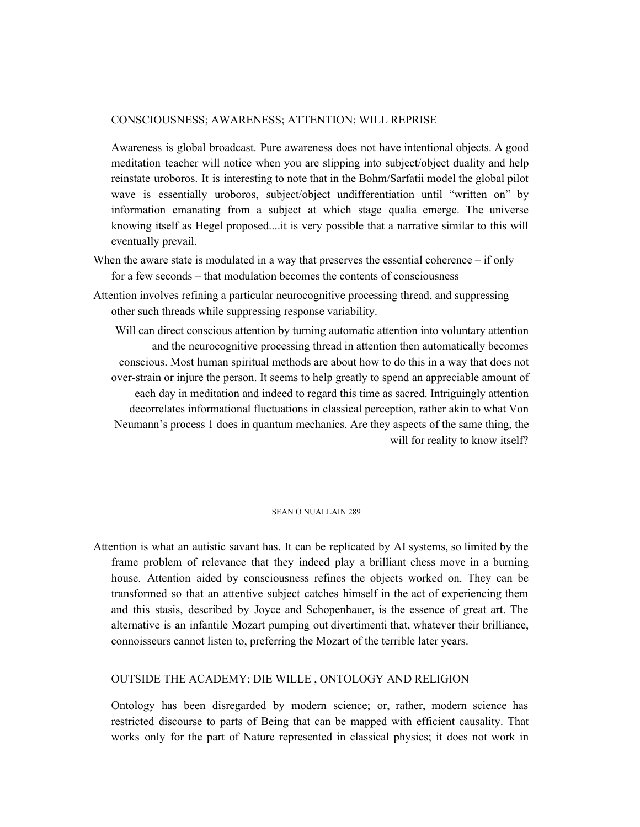# CONSCIOUSNESS; AWARENESS; ATTENTION; WILL REPRISE

Awareness is global broadcast. Pure awareness does not have intentional objects. A good meditation teacher will notice when you are slipping into subject/object duality and help reinstate uroboros. It is interesting to note that in the Bohm/Sarfatii model the global pilot wave is essentially uroboros, subject/object undifferentiation until "written on" by information emanating from a subject at which stage qualia emerge. The universe knowing itself as Hegel proposed....it is very possible that a narrative similar to this will eventually prevail.

- When the aware state is modulated in a way that preserves the essential coherence  $-$  if only for a few seconds – that modulation becomes the contents of consciousness
- Attention involves refining a particular neurocognitive processing thread, and suppressing other such threads while suppressing response variability.

Will can direct conscious attention by turning automatic attention into voluntary attention and the neurocognitive processing thread in attention then automatically becomes conscious. Most human spiritual methods are about how to do this in a way that does not over-strain or injure the person. It seems to help greatly to spend an appreciable amount of each day in meditation and indeed to regard this time as sacred. Intriguingly attention decorrelates informational fluctuations in classical perception, rather akin to what Von Neumann's process 1 does in quantum mechanics. Are they aspects of the same thing, the will for reality to know itself?

# SEAN O NUALLAIN 289

Attention is what an autistic savant has. It can be replicated by AI systems, so limited by the frame problem of relevance that they indeed play a brilliant chess move in a burning house. Attention aided by consciousness refines the objects worked on. They can be transformed so that an attentive subject catches himself in the act of experiencing them and this stasis, described by Joyce and Schopenhauer, is the essence of great art. The alternative is an infantile Mozart pumping out divertimenti that, whatever their brilliance, connoisseurs cannot listen to, preferring the Mozart of the terrible later years.

# OUTSIDE THE ACADEMY; DIE WILLE , ONTOLOGY AND RELIGION

Ontology has been disregarded by modern science; or, rather, modern science has restricted discourse to parts of Being that can be mapped with efficient causality. That works only for the part of Nature represented in classical physics; it does not work in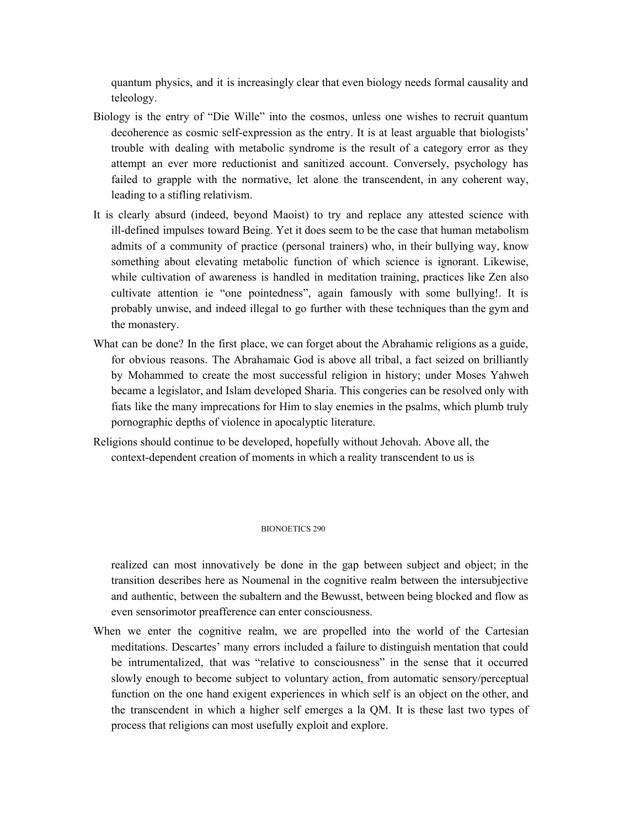quantum physics, and it is increasingly clear that even biology needs formal causality and teleology.

- Biology is the entry of "Die Wille" into the cosmos, unless one wishes to recruit quantum decoherence as cosmic self-expression as the entry. It is at least arguable that biologists' trouble with dealing with metabolic syndrome is the result of a category error as they attempt an ever more reductionist and sanitized account. Conversely, psychology has failed to grapple with the normative, let alone the transcendent, in any coherent way, leading to a stifling relativism.
- It is clearly absurd (indeed, beyond Maoist) to try and replace any attested science with ill-defined impulses toward Being. Yet it does seem to be the case that human metabolism admits of a community of practice (personal trainers) who, in their bullying way, know something about elevating metabolic function of which science is ignorant. Likewise, while cultivation of awareness is handled in meditation training, practices like Zen also cultivate attention ie "one pointedness", again famously with some bullying!. It is probably unwise, and indeed illegal to go further with these techniques than the gym and the monastery.
- What can be done? In the first place, we can forget about the Abrahamic religions as a guide, for obvious reasons. The Abrahamaic God is above all tribal, a fact seized on brilliantly by Mohammed to create the most successful religion in history; under Moses Yahweh became a legislator, and Islam developed Sharia. This congeries can be resolved only with fiats like the many imprecations for Him to slay enemies in the psalms, which plumb truly pornographic depths of violence in apocalyptic literature.
- Religions should continue to be developed, hopefully without Jehovah. Above all, the context-dependent creation of moments in which a reality transcendent to us is

#### BIONOETICS 290

realized can most innovatively be done in the gap between subject and object; in the transition describes here as Noumenal in the cognitive realm between the intersubjective and authentic, between the subaltern and the Bewusst, between being blocked and flow as even sensorimotor preafference can enter consciousness.

When we enter the cognitive realm, we are propelled into the world of the Cartesian meditations. Descartes' many errors included a failure to distinguish mentation that could be intrumentalized, that was "relative to consciousness" in the sense that it occurred slowly enough to become subject to voluntary action, from automatic sensory/perceptual function on the one hand exigent experiences in which self is an object on the other, and the transcendent in which a higher self emerges a la QM. It is these last two types of process that religions can most usefully exploit and explore.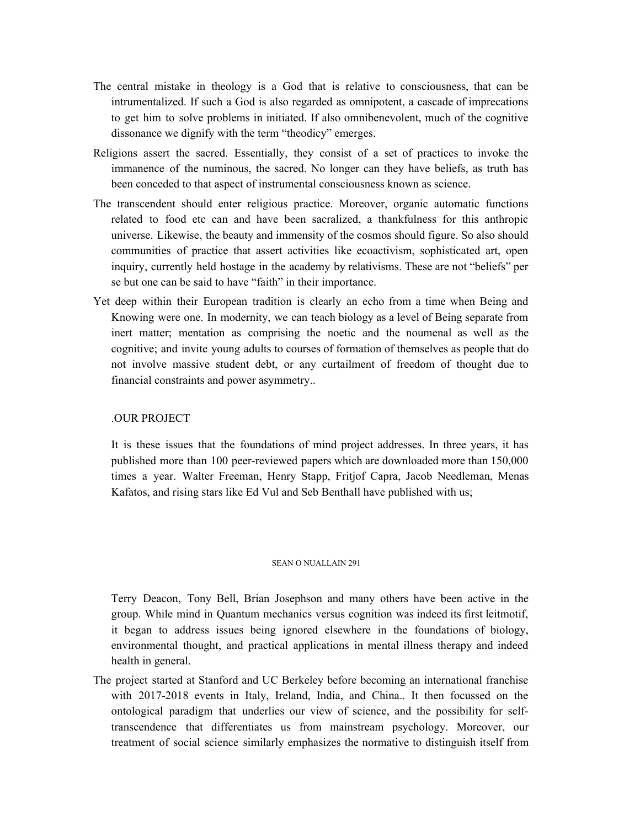- The central mistake in theology is a God that is relative to consciousness, that can be intrumentalized. If such a God is also regarded as omnipotent, a cascade of imprecations to get him to solve problems in initiated. If also omnibenevolent, much of the cognitive dissonance we dignify with the term "theodicy" emerges.
- Religions assert the sacred. Essentially, they consist of a set of practices to invoke the immanence of the numinous, the sacred. No longer can they have beliefs, as truth has been conceded to that aspect of instrumental consciousness known as science.
- The transcendent should enter religious practice. Moreover, organic automatic functions related to food etc can and have been sacralized, a thankfulness for this anthropic universe. Likewise, the beauty and immensity of the cosmos should figure. So also should communities of practice that assert activities like ecoactivism, sophisticated art, open inquiry, currently held hostage in the academy by relativisms. These are not "beliefs" per se but one can be said to have "faith" in their importance.
- Yet deep within their European tradition is clearly an echo from a time when Being and Knowing were one. In modernity, we can teach biology as a level of Being separate from inert matter; mentation as comprising the noetic and the noumenal as well as the cognitive; and invite young adults to courses of formation of themselves as people that do not involve massive student debt, or any curtailment of freedom of thought due to financial constraints and power asymmetry..

# .OUR PROJECT

It is these issues that the foundations of mind project addresses. In three years, it has published more than 100 peer-reviewed papers which are downloaded more than 150,000 times a year. Walter Freeman, Henry Stapp, Fritjof Capra, Jacob Needleman, Menas Kafatos, and rising stars like Ed Vul and Seb Benthall have published with us;

# SEAN O NUALLAIN 291

Terry Deacon, Tony Bell, Brian Josephson and many others have been active in the group. While mind in Quantum mechanics versus cognition was indeed its first leitmotif, it began to address issues being ignored elsewhere in the foundations of biology, environmental thought, and practical applications in mental illness therapy and indeed health in general.

The project started at Stanford and UC Berkeley before becoming an international franchise with 2017-2018 events in Italy, Ireland, India, and China.. It then focussed on the ontological paradigm that underlies our view of science, and the possibility for selftranscendence that differentiates us from mainstream psychology. Moreover, our treatment of social science similarly emphasizes the normative to distinguish itself from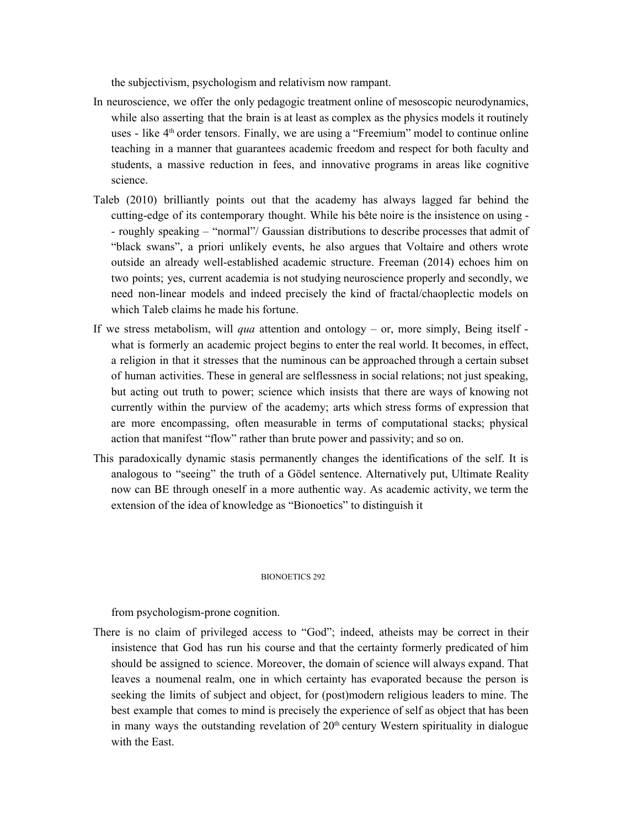the subjectivism, psychologism and relativism now rampant.

- In neuroscience, we offer the only pedagogic treatment online of mesoscopic neurodynamics, while also asserting that the brain is at least as complex as the physics models it routinely uses - like 4<sup>th</sup> order tensors. Finally, we are using a "Freemium" model to continue online teaching in a manner that guarantees academic freedom and respect for both faculty and students, a massive reduction in fees, and innovative programs in areas like cognitive science.
- Taleb (2010) brilliantly points out that the academy has always lagged far behind the cutting-edge of its contemporary thought. While his bête noire is the insistence on using - - roughly speaking – "normal"/ Gaussian distributions to describe processes that admit of "black swans", a priori unlikely events, he also argues that Voltaire and others wrote outside an already well-established academic structure. Freeman (2014) echoes him on two points; yes, current academia is not studying neuroscience properly and secondly, we need non-linear models and indeed precisely the kind of fractal/chaoplectic models on which Taleb claims he made his fortune.
- If we stress metabolism, will *qua* attention and ontology or, more simply, Being itself what is formerly an academic project begins to enter the real world. It becomes, in effect, a religion in that it stresses that the numinous can be approached through a certain subset of human activities. These in general are selflessness in social relations; not just speaking, but acting out truth to power; science which insists that there are ways of knowing not currently within the purview of the academy; arts which stress forms of expression that are more encompassing, often measurable in terms of computational stacks; physical action that manifest "flow" rather than brute power and passivity; and so on.
- This paradoxically dynamic stasis permanently changes the identifications of the self. It is analogous to "seeing" the truth of a Gödel sentence. Alternatively put, Ultimate Reality now can BE through oneself in a more authentic way. As academic activity, we term the extension of the idea of knowledge as "Bionoetics" to distinguish it

# BIONOETICS 292

from psychologism-prone cognition.

There is no claim of privileged access to "God"; indeed, atheists may be correct in their insistence that God has run his course and that the certainty formerly predicated of him should be assigned to science. Moreover, the domain of science will always expand. That leaves a noumenal realm, one in which certainty has evaporated because the person is seeking the limits of subject and object, for (post)modern religious leaders to mine. The best example that comes to mind is precisely the experience of self as object that has been in many ways the outstanding revelation of  $20<sup>th</sup>$  century Western spirituality in dialogue with the East.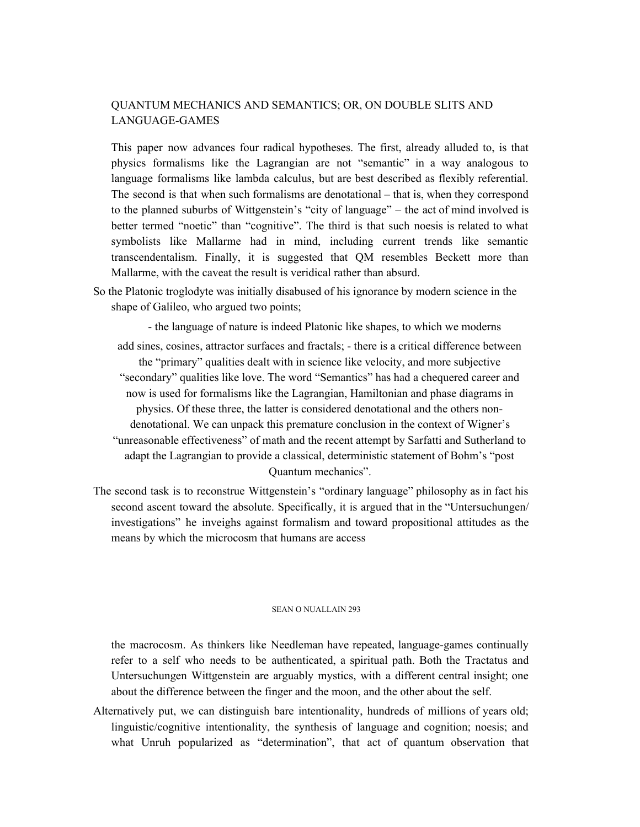# QUANTUM MECHANICS AND SEMANTICS; OR, ON DOUBLE SLITS AND LANGUAGE-GAMES

This paper now advances four radical hypotheses. The first, already alluded to, is that physics formalisms like the Lagrangian are not "semantic" in a way analogous to language formalisms like lambda calculus, but are best described as flexibly referential. The second is that when such formalisms are denotational – that is, when they correspond to the planned suburbs of Wittgenstein's "city of language" – the act of mind involved is better termed "noetic" than "cognitive". The third is that such noesis is related to what symbolists like Mallarme had in mind, including current trends like semantic transcendentalism. Finally, it is suggested that QM resembles Beckett more than Mallarme, with the caveat the result is veridical rather than absurd.

So the Platonic troglodyte was initially disabused of his ignorance by modern science in the shape of Galileo, who argued two points;

- the language of nature is indeed Platonic like shapes, to which we moderns

add sines, cosines, attractor surfaces and fractals; - there is a critical difference between the "primary" qualities dealt with in science like velocity, and more subjective "secondary" qualities like love. The word "Semantics" has had a chequered career and now is used for formalisms like the Lagrangian, Hamiltonian and phase diagrams in physics. Of these three, the latter is considered denotational and the others nondenotational. We can unpack this premature conclusion in the context of Wigner's "unreasonable effectiveness" of math and the recent attempt by Sarfatti and Sutherland to adapt the Lagrangian to provide a classical, deterministic statement of Bohm's "post Quantum mechanics".

The second task is to reconstrue Wittgenstein's "ordinary language" philosophy as in fact his second ascent toward the absolute. Specifically, it is argued that in the "Untersuchungen/ investigations" he inveighs against formalism and toward propositional attitudes as the means by which the microcosm that humans are access

# SEAN O NUALLAIN 293

the macrocosm. As thinkers like Needleman have repeated, language-games continually refer to a self who needs to be authenticated, a spiritual path. Both the Tractatus and Untersuchungen Wittgenstein are arguably mystics, with a different central insight; one about the difference between the finger and the moon, and the other about the self.

Alternatively put, we can distinguish bare intentionality, hundreds of millions of years old; linguistic/cognitive intentionality, the synthesis of language and cognition; noesis; and what Unruh popularized as "determination", that act of quantum observation that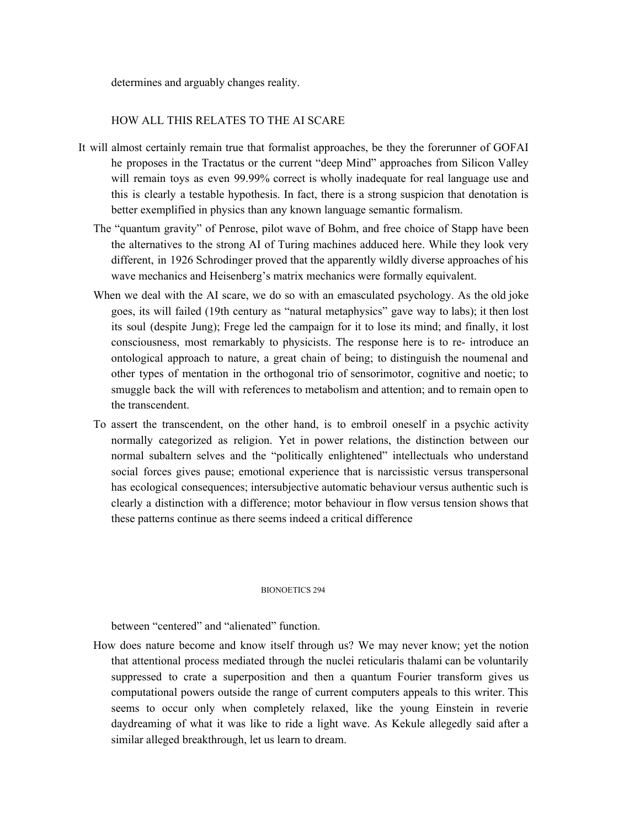determines and arguably changes reality.

# HOW ALL THIS RELATES TO THE AI SCARE

- It will almost certainly remain true that formalist approaches, be they the forerunner of GOFAI he proposes in the Tractatus or the current "deep Mind" approaches from Silicon Valley will remain toys as even 99.99% correct is wholly inadequate for real language use and this is clearly a testable hypothesis. In fact, there is a strong suspicion that denotation is better exemplified in physics than any known language semantic formalism.
	- The "quantum gravity" of Penrose, pilot wave of Bohm, and free choice of Stapp have been the alternatives to the strong AI of Turing machines adduced here. While they look very different, in 1926 Schrodinger proved that the apparently wildly diverse approaches of his wave mechanics and Heisenberg's matrix mechanics were formally equivalent.
	- When we deal with the AI scare, we do so with an emasculated psychology. As the old joke goes, its will failed (19th century as "natural metaphysics" gave way to labs); it then lost its soul (despite Jung); Frege led the campaign for it to lose its mind; and finally, it lost consciousness, most remarkably to physicists. The response here is to re- introduce an ontological approach to nature, a great chain of being; to distinguish the noumenal and other types of mentation in the orthogonal trio of sensorimotor, cognitive and noetic; to smuggle back the will with references to metabolism and attention; and to remain open to the transcendent.
	- To assert the transcendent, on the other hand, is to embroil oneself in a psychic activity normally categorized as religion. Yet in power relations, the distinction between our normal subaltern selves and the "politically enlightened" intellectuals who understand social forces gives pause; emotional experience that is narcissistic versus transpersonal has ecological consequences; intersubjective automatic behaviour versus authentic such is clearly a distinction with a difference; motor behaviour in flow versus tension shows that these patterns continue as there seems indeed a critical difference

# BIONOETICS 294

between "centered" and "alienated" function.

How does nature become and know itself through us? We may never know; yet the notion that attentional process mediated through the nuclei reticularis thalami can be voluntarily suppressed to crate a superposition and then a quantum Fourier transform gives us computational powers outside the range of current computers appeals to this writer. This seems to occur only when completely relaxed, like the young Einstein in reverie daydreaming of what it was like to ride a light wave. As Kekule allegedly said after a similar alleged breakthrough, let us learn to dream.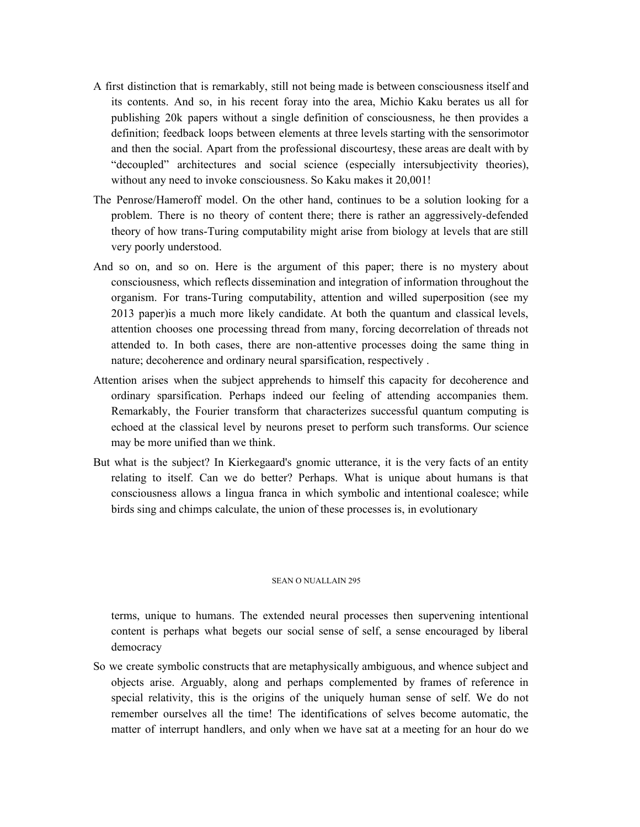- A first distinction that is remarkably, still not being made is between consciousness itself and its contents. And so, in his recent foray into the area, Michio Kaku berates us all for publishing 20k papers without a single definition of consciousness, he then provides a definition; feedback loops between elements at three levels starting with the sensorimotor and then the social. Apart from the professional discourtesy, these areas are dealt with by "decoupled" architectures and social science (especially intersubjectivity theories), without any need to invoke consciousness. So Kaku makes it 20,001!
- The Penrose/Hameroff model. On the other hand, continues to be a solution looking for a problem. There is no theory of content there; there is rather an aggressively-defended theory of how trans-Turing computability might arise from biology at levels that are still very poorly understood.
- And so on, and so on. Here is the argument of this paper; there is no mystery about consciousness, which reflects dissemination and integration of information throughout the organism. For trans-Turing computability, attention and willed superposition (see my 2013 paper)is a much more likely candidate. At both the quantum and classical levels, attention chooses one processing thread from many, forcing decorrelation of threads not attended to. In both cases, there are non-attentive processes doing the same thing in nature; decoherence and ordinary neural sparsification, respectively .
- Attention arises when the subject apprehends to himself this capacity for decoherence and ordinary sparsification. Perhaps indeed our feeling of attending accompanies them. Remarkably, the Fourier transform that characterizes successful quantum computing is echoed at the classical level by neurons preset to perform such transforms. Our science may be more unified than we think.
- But what is the subject? In Kierkegaard's gnomic utterance, it is the very facts of an entity relating to itself. Can we do better? Perhaps. What is unique about humans is that consciousness allows a lingua franca in which symbolic and intentional coalesce; while birds sing and chimps calculate, the union of these processes is, in evolutionary

#### SEAN O NUALLAIN 295

terms, unique to humans. The extended neural processes then supervening intentional content is perhaps what begets our social sense of self, a sense encouraged by liberal democracy

So we create symbolic constructs that are metaphysically ambiguous, and whence subject and objects arise. Arguably, along and perhaps complemented by frames of reference in special relativity, this is the origins of the uniquely human sense of self. We do not remember ourselves all the time! The identifications of selves become automatic, the matter of interrupt handlers, and only when we have sat at a meeting for an hour do we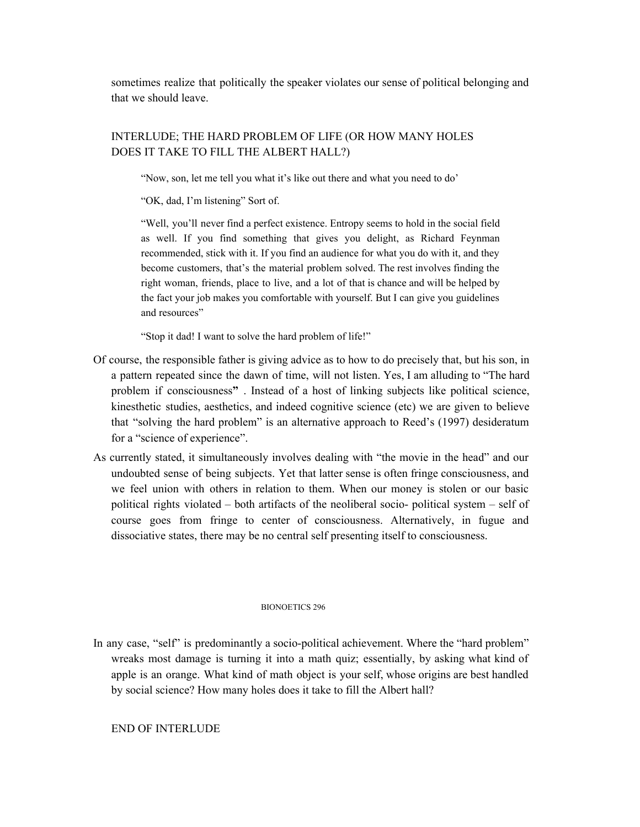sometimes realize that politically the speaker violates our sense of political belonging and that we should leave.

# INTERLUDE; THE HARD PROBLEM OF LIFE (OR HOW MANY HOLES DOES IT TAKE TO FILL THE ALBERT HALL?)

"Now, son, let me tell you what it's like out there and what you need to do'

"OK, dad, I'm listening" Sort of.

"Well, you'll never find a perfect existence. Entropy seems to hold in the social field as well. If you find something that gives you delight, as Richard Feynman recommended, stick with it. If you find an audience for what you do with it, and they become customers, that's the material problem solved. The rest involves finding the right woman, friends, place to live, and a lot of that is chance and will be helped by the fact your job makes you comfortable with yourself. But I can give you guidelines and resources"

"Stop it dad! I want to solve the hard problem of life!"

- Of course, the responsible father is giving advice as to how to do precisely that, but his son, in a pattern repeated since the dawn of time, will not listen. Yes, I am alluding to "The hard problem if consciousness**"** . Instead of a host of linking subjects like political science, kinesthetic studies, aesthetics, and indeed cognitive science (etc) we are given to believe that "solving the hard problem" is an alternative approach to Reed's (1997) desideratum for a "science of experience".
- As currently stated, it simultaneously involves dealing with "the movie in the head" and our undoubted sense of being subjects. Yet that latter sense is often fringe consciousness, and we feel union with others in relation to them. When our money is stolen or our basic political rights violated – both artifacts of the neoliberal socio- political system – self of course goes from fringe to center of consciousness. Alternatively, in fugue and dissociative states, there may be no central self presenting itself to consciousness.

# BIONOETICS 296

In any case, "self" is predominantly a socio-political achievement. Where the "hard problem" wreaks most damage is turning it into a math quiz; essentially, by asking what kind of apple is an orange. What kind of math object is your self, whose origins are best handled by social science? How many holes does it take to fill the Albert hall?

# END OF INTERLUDE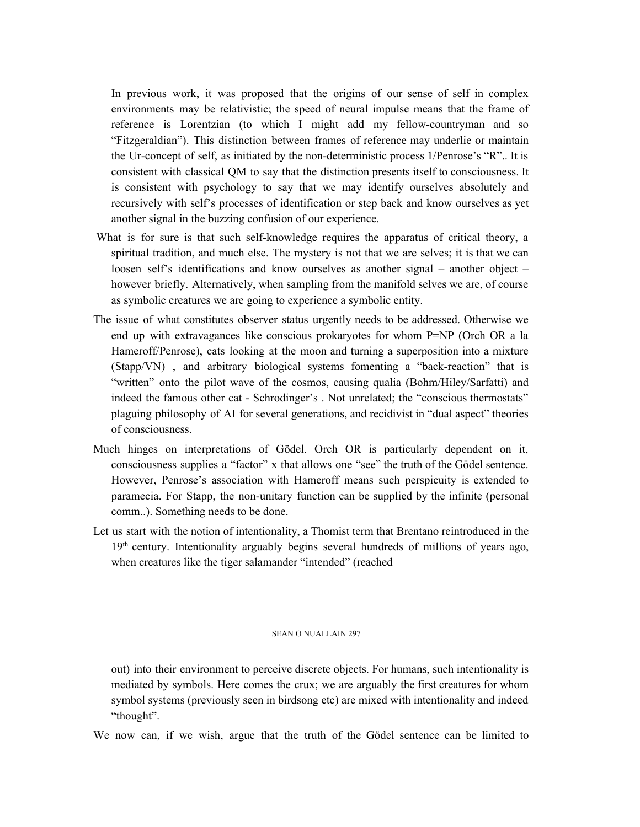In previous work, it was proposed that the origins of our sense of self in complex environments may be relativistic; the speed of neural impulse means that the frame of reference is Lorentzian (to which I might add my fellow-countryman and so "Fitzgeraldian"). This distinction between frames of reference may underlie or maintain the Ur-concept of self, as initiated by the non-deterministic process 1/Penrose's "R".. It is consistent with classical QM to say that the distinction presents itself to consciousness. It is consistent with psychology to say that we may identify ourselves absolutely and recursively with self's processes of identification or step back and know ourselves as yet another signal in the buzzing confusion of our experience.

- What is for sure is that such self-knowledge requires the apparatus of critical theory, a spiritual tradition, and much else. The mystery is not that we are selves; it is that we can loosen self's identifications and know ourselves as another signal – another object – however briefly. Alternatively, when sampling from the manifold selves we are, of course as symbolic creatures we are going to experience a symbolic entity.
- The issue of what constitutes observer status urgently needs to be addressed. Otherwise we end up with extravagances like conscious prokaryotes for whom P=NP (Orch OR a la Hameroff/Penrose), cats looking at the moon and turning a superposition into a mixture (Stapp/VN) , and arbitrary biological systems fomenting a "back-reaction" that is "written" onto the pilot wave of the cosmos, causing qualia (Bohm/Hiley/Sarfatti) and indeed the famous other cat - Schrodinger's . Not unrelated; the "conscious thermostats" plaguing philosophy of AI for several generations, and recidivist in "dual aspect" theories of consciousness.
- Much hinges on interpretations of Gödel. Orch OR is particularly dependent on it, consciousness supplies a "factor" x that allows one "see" the truth of the Gödel sentence. However, Penrose's association with Hameroff means such perspicuity is extended to paramecia. For Stapp, the non-unitary function can be supplied by the infinite (personal comm..). Something needs to be done.
- Let us start with the notion of intentionality, a Thomist term that Brentano reintroduced in the 19<sup>th</sup> century. Intentionality arguably begins several hundreds of millions of years ago, when creatures like the tiger salamander "intended" (reached

#### SEAN O NUALLAIN 297

out) into their environment to perceive discrete objects. For humans, such intentionality is mediated by symbols. Here comes the crux; we are arguably the first creatures for whom symbol systems (previously seen in birdsong etc) are mixed with intentionality and indeed "thought".

We now can, if we wish, argue that the truth of the Gödel sentence can be limited to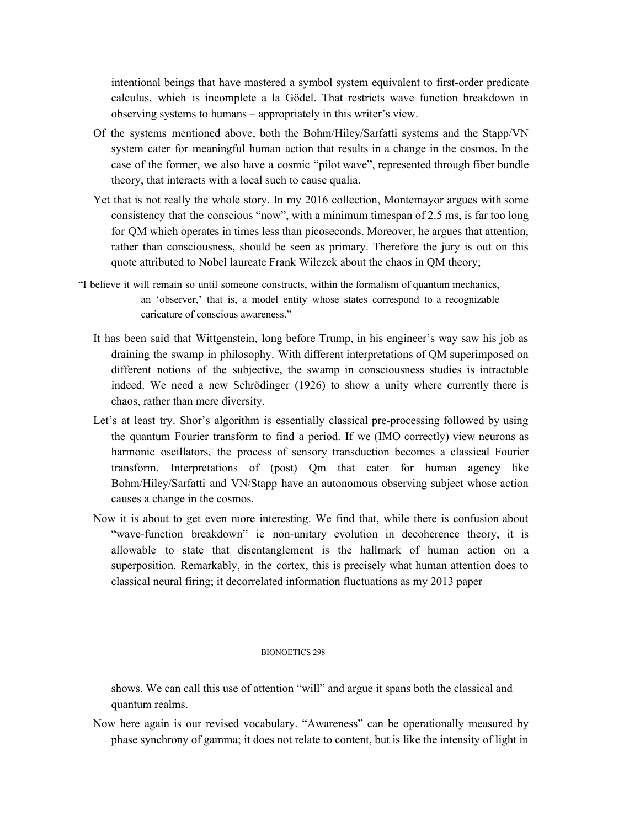intentional beings that have mastered a symbol system equivalent to first-order predicate calculus, which is incomplete a la Gödel. That restricts wave function breakdown in observing systems to humans – appropriately in this writer's view.

- Of the systems mentioned above, both the Bohm/Hiley/Sarfatti systems and the Stapp/VN system cater for meaningful human action that results in a change in the cosmos. In the case of the former, we also have a cosmic "pilot wave", represented through fiber bundle theory, that interacts with a local such to cause qualia.
- Yet that is not really the whole story. In my 2016 collection, Montemayor argues with some consistency that the conscious "now", with a minimum timespan of 2.5 ms, is far too long for QM which operates in times less than picoseconds. Moreover, he argues that attention, rather than consciousness, should be seen as primary. Therefore the jury is out on this quote attributed to Nobel laureate Frank Wilczek about the chaos in QM theory;
- "I believe it will remain so until someone constructs, within the formalism of quantum mechanics, an 'observer,' that is, a model entity whose states correspond to a recognizable caricature of conscious awareness."
	- It has been said that Wittgenstein, long before Trump, in his engineer's way saw his job as draining the swamp in philosophy. With different interpretations of QM superimposed on different notions of the subjective, the swamp in consciousness studies is intractable indeed. We need a new Schrödinger (1926) to show a unity where currently there is chaos, rather than mere diversity.
	- Let's at least try. Shor's algorithm is essentially classical pre-processing followed by using the quantum Fourier transform to find a period. If we (IMO correctly) view neurons as harmonic oscillators, the process of sensory transduction becomes a classical Fourier transform. Interpretations of (post) Qm that cater for human agency like Bohm/Hiley/Sarfatti and VN/Stapp have an autonomous observing subject whose action causes a change in the cosmos.
	- Now it is about to get even more interesting. We find that, while there is confusion about "wave-function breakdown" ie non-unitary evolution in decoherence theory, it is allowable to state that disentanglement is the hallmark of human action on a superposition. Remarkably, in the cortex, this is precisely what human attention does to classical neural firing; it decorrelated information fluctuations as my 2013 paper

#### BIONOETICS 298

shows. We can call this use of attention "will" and argue it spans both the classical and quantum realms.

Now here again is our revised vocabulary. "Awareness" can be operationally measured by phase synchrony of gamma; it does not relate to content, but is like the intensity of light in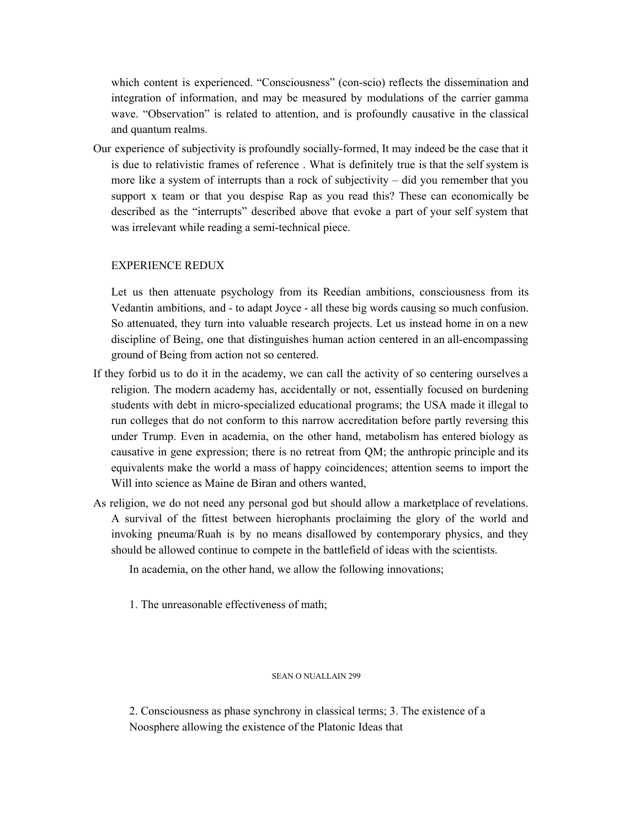which content is experienced. "Consciousness" (con-scio) reflects the dissemination and integration of information, and may be measured by modulations of the carrier gamma wave. "Observation" is related to attention, and is profoundly causative in the classical and quantum realms.

Our experience of subjectivity is profoundly socially-formed, It may indeed be the case that it is due to relativistic frames of reference . What is definitely true is that the self system is more like a system of interrupts than a rock of subjectivity  $-$  did you remember that you support x team or that you despise Rap as you read this? These can economically be described as the "interrupts" described above that evoke a part of your self system that was irrelevant while reading a semi-technical piece.

# EXPERIENCE REDUX

Let us then attenuate psychology from its Reedian ambitions, consciousness from its Vedantin ambitions, and - to adapt Joyce - all these big words causing so much confusion. So attenuated, they turn into valuable research projects. Let us instead home in on a new discipline of Being, one that distinguishes human action centered in an all-encompassing ground of Being from action not so centered.

- If they forbid us to do it in the academy, we can call the activity of so centering ourselves a religion. The modern academy has, accidentally or not, essentially focused on burdening students with debt in micro-specialized educational programs; the USA made it illegal to run colleges that do not conform to this narrow accreditation before partly reversing this under Trump. Even in academia, on the other hand, metabolism has entered biology as causative in gene expression; there is no retreat from QM; the anthropic principle and its equivalents make the world a mass of happy coincidences; attention seems to import the Will into science as Maine de Biran and others wanted,
- As religion, we do not need any personal god but should allow a marketplace of revelations. A survival of the fittest between hierophants proclaiming the glory of the world and invoking pneuma/Ruah is by no means disallowed by contemporary physics, and they should be allowed continue to compete in the battlefield of ideas with the scientists.

In academia, on the other hand, we allow the following innovations;

1. The unreasonable effectiveness of math;

# SEAN O NUALLAIN 299

2. Consciousness as phase synchrony in classical terms; 3. The existence of a Noosphere allowing the existence of the Platonic Ideas that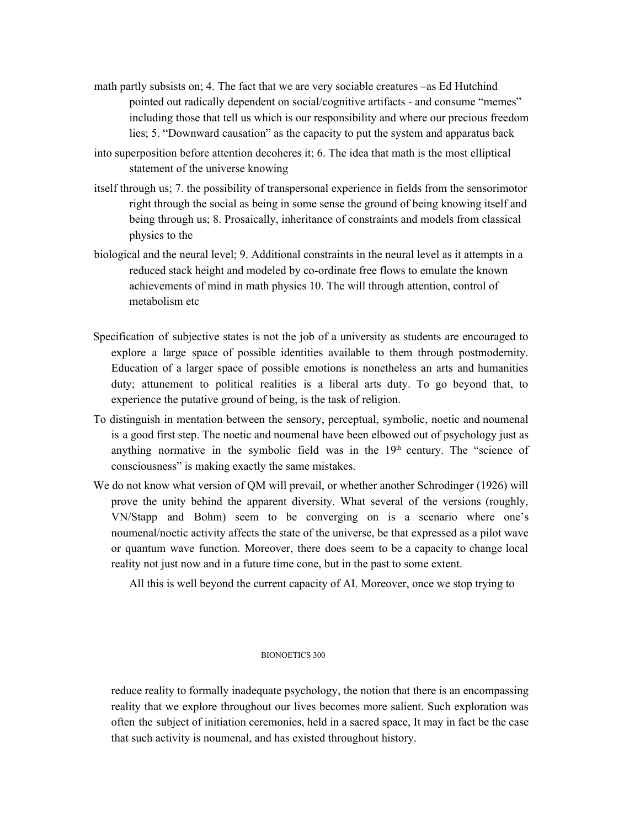- math partly subsists on; 4. The fact that we are very sociable creatures –as Ed Hutchind pointed out radically dependent on social/cognitive artifacts - and consume "memes" including those that tell us which is our responsibility and where our precious freedom lies; 5. "Downward causation" as the capacity to put the system and apparatus back
- into superposition before attention decoheres it; 6. The idea that math is the most elliptical statement of the universe knowing
- itself through us; 7. the possibility of transpersonal experience in fields from the sensorimotor right through the social as being in some sense the ground of being knowing itself and being through us; 8. Prosaically, inheritance of constraints and models from classical physics to the
- biological and the neural level; 9. Additional constraints in the neural level as it attempts in a reduced stack height and modeled by co-ordinate free flows to emulate the known achievements of mind in math physics 10. The will through attention, control of metabolism etc
- Specification of subjective states is not the job of a university as students are encouraged to explore a large space of possible identities available to them through postmodernity. Education of a larger space of possible emotions is nonetheless an arts and humanities duty; attunement to political realities is a liberal arts duty. To go beyond that, to experience the putative ground of being, is the task of religion.
- To distinguish in mentation between the sensory, perceptual, symbolic, noetic and noumenal is a good first step. The noetic and noumenal have been elbowed out of psychology just as anything normative in the symbolic field was in the  $19<sup>th</sup>$  century. The "science of consciousness" is making exactly the same mistakes.
- We do not know what version of QM will prevail, or whether another Schrodinger (1926) will prove the unity behind the apparent diversity. What several of the versions (roughly, VN/Stapp and Bohm) seem to be converging on is a scenario where one's noumenal/noetic activity affects the state of the universe, be that expressed as a pilot wave or quantum wave function. Moreover, there does seem to be a capacity to change local reality not just now and in a future time cone, but in the past to some extent.

All this is well beyond the current capacity of AI. Moreover, once we stop trying to

# BIONOETICS 300

reduce reality to formally inadequate psychology, the notion that there is an encompassing reality that we explore throughout our lives becomes more salient. Such exploration was often the subject of initiation ceremonies, held in a sacred space, It may in fact be the case that such activity is noumenal, and has existed throughout history.